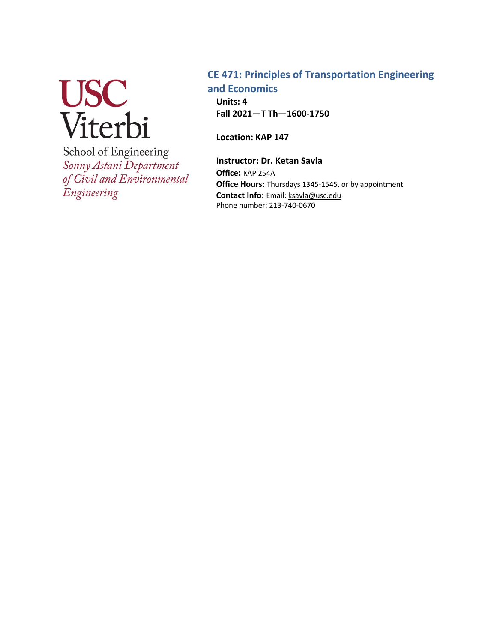

School of Engineering Sonny Astani Department of Civil and Environmental Engineering

## **CE 471: Principles of Transportation Engineering and Economics**

**Units: 4 Fall 2021—T Th—1600-1750**

**Location: KAP 147**

**Instructor: Dr. Ketan Savla Office:** KAP 254A **Office Hours:** Thursdays 1345-1545, or by appointment **Contact Info:** Email: ksavla@usc.edu Phone number: 213-740-0670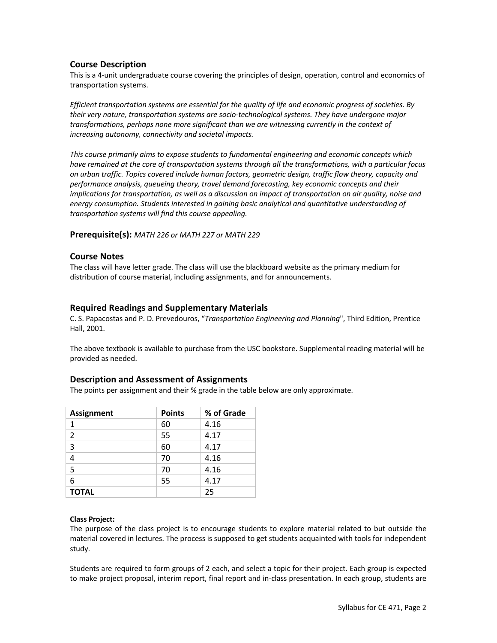## **Course Description**

This is a 4-unit undergraduate course covering the principles of design, operation, control and economics of transportation systems.

*Efficient transportation systems are essential for the quality of life and economic progress of societies. By their very nature, transportation systems are socio-technological systems. They have undergone major transformations, perhaps none more significant than we are witnessing currently in the context of increasing autonomy, connectivity and societal impacts.* 

*This course primarily aims to expose students to fundamental engineering and economic concepts which have remained at the core of transportation systems through all the transformations, with a particular focus on urban traffic. Topics covered include human factors, geometric design, traffic flow theory, capacity and performance analysis, queueing theory, travel demand forecasting, key economic concepts and their implications for transportation, as well as a discussion on impact of transportation on air quality, noise and energy consumption. Students interested in gaining basic analytical and quantitative understanding of transportation systems will find this course appealing.*

#### **Prerequisite(s):** *MATH 226 or MATH 227 or MATH 229*

#### **Course Notes**

The class will have letter grade. The class will use the blackboard website as the primary medium for distribution of course material, including assignments, and for announcements.

### **Required Readings and Supplementary Materials**

C. S. Papacostas and P. D. Prevedouros, "*Transportation Engineering and Planning*", Third Edition, Prentice Hall, 2001.

The above textbook is available to purchase from the USC bookstore. Supplemental reading material will be provided as needed.

#### **Description and Assessment of Assignments**

The points per assignment and their % grade in the table below are only approximate.

| <b>Assignment</b> | <b>Points</b> | % of Grade |
|-------------------|---------------|------------|
| 1                 | 60            | 4.16       |
| $\overline{2}$    | 55            | 4.17       |
| 3                 | 60            | 4.17       |
| 4                 | 70            | 4.16       |
| 5                 | 70            | 4.16       |
| 6                 | 55            | 4.17       |
| <b>TOTAL</b>      |               | 25         |

#### **Class Project:**

The purpose of the class project is to encourage students to explore material related to but outside the material covered in lectures. The process is supposed to get students acquainted with tools for independent study.

Students are required to form groups of 2 each, and select a topic for their project. Each group is expected to make project proposal, interim report, final report and in-class presentation. In each group, students are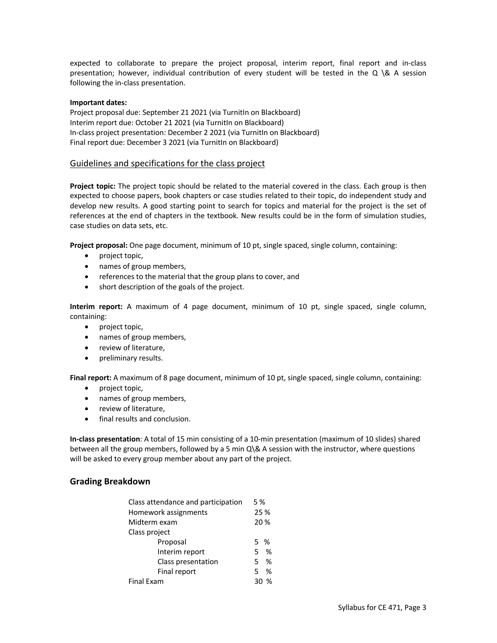expected to collaborate to prepare the project proposal, interim report, final report and in-class presentation; however, individual contribution of every student will be tested in the Q \& A session following the in-class presentation.

#### **Important dates:**

Project proposal due: September 21 2021 (via TurnitIn on Blackboard) Interim report due: October 21 2021 (via TurnitIn on Blackboard) In-class project presentation: December 2 2021 (via TurnitIn on Blackboard) Final report due: December 3 2021 (via TurnitIn on Blackboard)

#### Guidelines and specifications for the class project

**Project topic:** The project topic should be related to the material covered in the class. Each group is then expected to choose papers, book chapters or case studies related to their topic, do independent study and develop new results. A good starting point to search for topics and material for the project is the set of references at the end of chapters in the textbook. New results could be in the form of simulation studies, case studies on data sets, etc.

**Project proposal:** One page document, minimum of 10 pt, single spaced, single column, containing:

- project topic,
- names of group members,
- references to the material that the group plans to cover, and
- short description of the goals of the project.

**Interim report:** A maximum of 4 page document, minimum of 10 pt, single spaced, single column, containing:

- project topic,
- names of group members,
- review of literature,
- preliminary results.

**Final report:** A maximum of 8 page document, minimum of 10 pt, single spaced, single column, containing:

- project topic,
- names of group members,
- review of literature,
- final results and conclusion.

**In-class presentation**: A total of 15 min consisting of a 10-min presentation (maximum of 10 slides) shared between all the group members, followed by a 5 min Q\& A session with the instructor, where questions will be asked to every group member about any part of the project.

#### **Grading Breakdown**

| Class attendance and participation<br>Homework assignments<br>Midterm exam | 5 %<br>25 %<br>20 % |   |  |  |
|----------------------------------------------------------------------------|---------------------|---|--|--|
|                                                                            |                     |   |  |  |
| Class project                                                              |                     |   |  |  |
| Proposal                                                                   | 5 %                 |   |  |  |
| Interim report                                                             | 5.                  | % |  |  |
| Class presentation                                                         |                     | % |  |  |
| Final report                                                               | 5                   | % |  |  |
| Final Exam                                                                 |                     |   |  |  |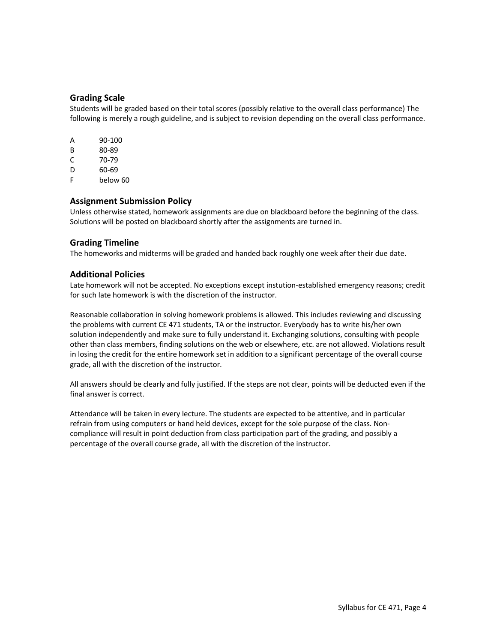### **Grading Scale**

Students will be graded based on their total scores (possibly relative to the overall class performance) The following is merely a rough guideline, and is subject to revision depending on the overall class performance.

| А | 90-100   |
|---|----------|
| в | 80-89    |
| C | 70-79    |
| D | 60-69    |
| F | below 60 |

### **Assignment Submission Policy**

Unless otherwise stated, homework assignments are due on blackboard before the beginning of the class. Solutions will be posted on blackboard shortly after the assignments are turned in.

### **Grading Timeline**

The homeworks and midterms will be graded and handed back roughly one week after their due date.

### **Additional Policies**

Late homework will not be accepted. No exceptions except instution-established emergency reasons; credit for such late homework is with the discretion of the instructor.

Reasonable collaboration in solving homework problems is allowed. This includes reviewing and discussing the problems with current CE 471 students, TA or the instructor. Everybody has to write his/her own solution independently and make sure to fully understand it. Exchanging solutions, consulting with people other than class members, finding solutions on the web or elsewhere, etc. are not allowed. Violations result in losing the credit for the entire homework set in addition to a significant percentage of the overall course grade, all with the discretion of the instructor.

All answers should be clearly and fully justified. If the steps are not clear, points will be deducted even if the final answer is correct.

Attendance will be taken in every lecture. The students are expected to be attentive, and in particular refrain from using computers or hand held devices, except for the sole purpose of the class. Noncompliance will result in point deduction from class participation part of the grading, and possibly a percentage of the overall course grade, all with the discretion of the instructor.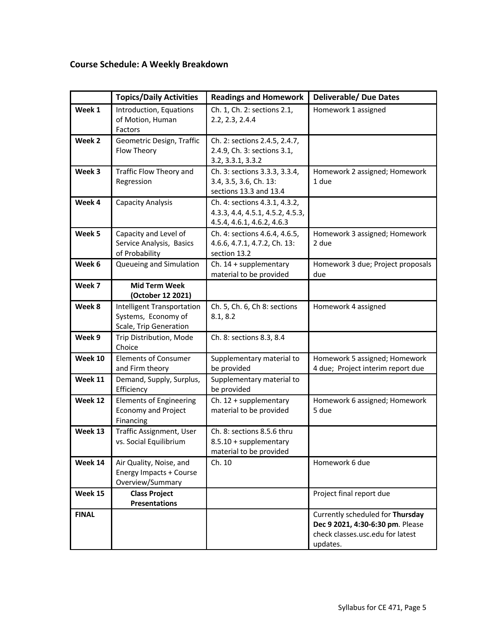# **Course Schedule: A Weekly Breakdown**

|              | <b>Topics/Daily Activities</b>                                                     | <b>Readings and Homework</b>                                                                    | <b>Deliverable/ Due Dates</b>                                                                                        |
|--------------|------------------------------------------------------------------------------------|-------------------------------------------------------------------------------------------------|----------------------------------------------------------------------------------------------------------------------|
| Week 1       | Introduction, Equations<br>of Motion, Human<br>Factors                             | Ch. 1, Ch. 2: sections 2.1,<br>2.2, 2.3, 2.4.4                                                  | Homework 1 assigned                                                                                                  |
| Week 2       | Geometric Design, Traffic<br>Flow Theory                                           | Ch. 2: sections 2.4.5, 2.4.7,<br>2.4.9, Ch. 3: sections 3.1,<br>3.2, 3.3.1, 3.3.2               |                                                                                                                      |
| Week 3       | Traffic Flow Theory and<br>Regression                                              | Ch. 3: sections 3.3.3, 3.3.4,<br>3.4, 3.5, 3.6, Ch. 13:<br>sections 13.3 and 13.4               | Homework 2 assigned; Homework<br>1 due                                                                               |
| Week 4       | <b>Capacity Analysis</b>                                                           | Ch. 4: sections 4.3.1, 4.3.2,<br>4.3.3, 4.4, 4.5.1, 4.5.2, 4.5.3,<br>4.5.4, 4.6.1, 4.6.2, 4.6.3 |                                                                                                                      |
| Week 5       | Capacity and Level of<br>Service Analysis, Basics<br>of Probability                | Ch. 4: sections 4.6.4, 4.6.5,<br>4.6.6, 4.7.1, 4.7.2, Ch. 13:<br>section 13.2                   | Homework 3 assigned; Homework<br>2 due                                                                               |
| Week 6       | Queueing and Simulation                                                            | Ch. $14 +$ supplementary<br>material to be provided                                             | Homework 3 due; Project proposals<br>due                                                                             |
| Week 7       | <b>Mid Term Week</b><br>(October 12 2021)                                          |                                                                                                 |                                                                                                                      |
| Week 8       | <b>Intelligent Transportation</b><br>Systems, Economy of<br>Scale, Trip Generation | Ch. 5, Ch. 6, Ch 8: sections<br>8.1, 8.2                                                        | Homework 4 assigned                                                                                                  |
| Week 9       | Trip Distribution, Mode<br>Choice                                                  | Ch. 8: sections 8.3, 8.4                                                                        |                                                                                                                      |
| Week 10      | <b>Elements of Consumer</b><br>and Firm theory                                     | Supplementary material to<br>be provided                                                        | Homework 5 assigned; Homework<br>4 due; Project interim report due                                                   |
| Week 11      | Demand, Supply, Surplus,<br>Efficiency                                             | Supplementary material to<br>be provided                                                        |                                                                                                                      |
| Week 12      | <b>Elements of Engineering</b><br><b>Economy and Project</b><br>Financing          | Ch. $12 +$ supplementary<br>material to be provided                                             | Homework 6 assigned; Homework<br>5 due                                                                               |
| Week 13      | Traffic Assignment, User<br>vs. Social Equilibrium                                 | Ch. 8: sections 8.5.6 thru<br>8.5.10 + supplementary<br>material to be provided                 |                                                                                                                      |
| Week 14      | Air Quality, Noise, and<br><b>Energy Impacts + Course</b><br>Overview/Summary      | Ch. 10                                                                                          | Homework 6 due                                                                                                       |
| Week 15      | <b>Class Project</b><br><b>Presentations</b>                                       |                                                                                                 | Project final report due                                                                                             |
| <b>FINAL</b> |                                                                                    |                                                                                                 | Currently scheduled for Thursday<br>Dec 9 2021, 4:30-6:30 pm. Please<br>check classes.usc.edu for latest<br>updates. |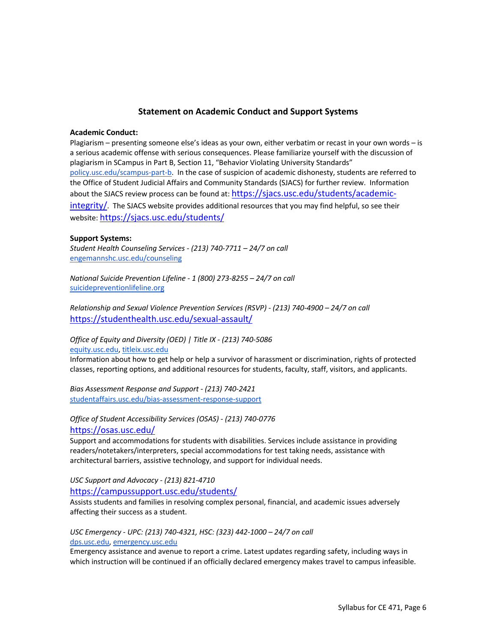## **Statement on Academic Conduct and Support Systems**

#### **Academic Conduct:**

Plagiarism – presenting someone else's ideas as your own, either verbatim or recast in your own words – is a serious academic offense with serious consequences. Please familiarize yourself with the discussion of plagiarism in SCampus in Part B, Section 11, "Behavior Violating University Standards" policy.usc.edu/scampus-part-b. In the case of suspicion of academic dishonesty, students are referred to the Office of Student Judicial Affairs and Community Standards (SJACS) for further review. Information about the SJACS review process can be found at: https://sjacs.usc.edu/students/academicintegrity/. The SJACS website provides additional resources that you may find helpful, so see their website: https://sjacs.usc.edu/students/

#### **Support Systems:**

*Student Health Counseling Services - (213) 740-7711 – 24/7 on call* engemannshc.usc.edu/counseling

*National Suicide Prevention Lifeline - 1 (800) 273-8255 – 24/7 on call* suicidepreventionlifeline.org

*Relationship and Sexual Violence Prevention Services (RSVP) - (213) 740-4900 – 24/7 on call* https://studenthealth.usc.edu/sexual-assault/

#### *Office of Equity and Diversity (OED) | Title IX - (213) 740-5086* equity.usc.edu, titleix.usc.edu

Information about how to get help or help a survivor of harassment or discrimination, rights of protected classes, reporting options, and additional resources for students, faculty, staff, visitors, and applicants.

*Bias Assessment Response and Support - (213) 740-2421* studentaffairs.usc.edu/bias-assessment-response-support

*Office of Student Accessibility Services (OSAS) - (213) 740-0776* https://osas.usc.edu/

Support and accommodations for students with disabilities. Services include assistance in providing readers/notetakers/interpreters, special accommodations for test taking needs, assistance with architectural barriers, assistive technology, and support for individual needs.

## *USC Support and Advocacy - (213) 821-4710*

https://campussupport.usc.edu/students/

Assists students and families in resolving complex personal, financial, and academic issues adversely affecting their success as a student.

#### *USC Emergency - UPC: (213) 740-4321, HSC: (323) 442-1000 – 24/7 on call*  dps.usc.edu, emergency.usc.edu

Emergency assistance and avenue to report a crime. Latest updates regarding safety, including ways in which instruction will be continued if an officially declared emergency makes travel to campus infeasible.